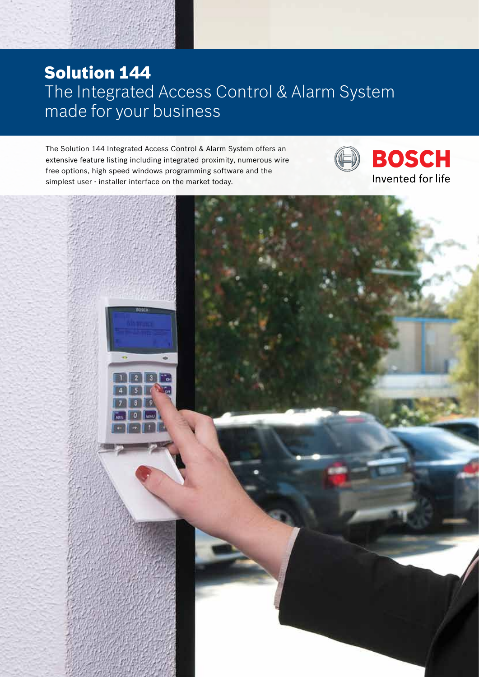### Solution 144 The Integrated Access Control & Alarm System made for your business

The Solution 144 Integrated Access Control & Alarm System offers an extensive feature listing including integrated proximity, numerous wire free options, high speed windows programming software and the simplest user - installer interface on the market today.



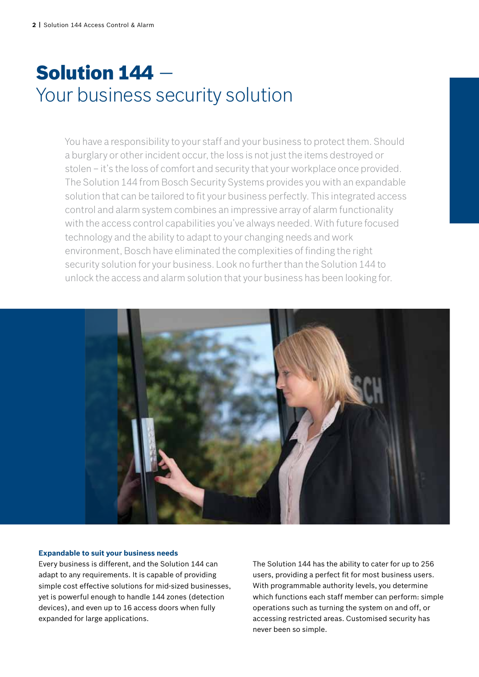# Solution 144 — Your business security solution

You have a responsibility to your staff and your business to protect them. Should a burglary or other incident occur, the loss is not just the items destroyed or stolen – it's the loss of comfort and security that your workplace once provided. The Solution 144 from Bosch Security Systems provides you with an expandable solution that can be tailored to fit your business perfectly. This integrated access control and alarm system combines an impressive array of alarm functionality with the access control capabilities you've always needed. With future focused technology and the ability to adapt to your changing needs and work environment, Bosch have eliminated the complexities of finding the right security solution for your business. Look no further than the Solution 144 to unlock the access and alarm solution that your business has been looking for.



#### **Expandable to suit your business needs**

Every business is different, and the Solution 144 can adapt to any requirements. It is capable of providing simple cost effective solutions for mid-sized businesses, yet is powerful enough to handle 144 zones (detection devices), and even up to 16 access doors when fully expanded for large applications.

The Solution 144 has the ability to cater for up to 256 users, providing a perfect fit for most business users. With programmable authority levels, you determine which functions each staff member can perform: simple operations such as turning the system on and off, or accessing restricted areas. Customised security has never been so simple.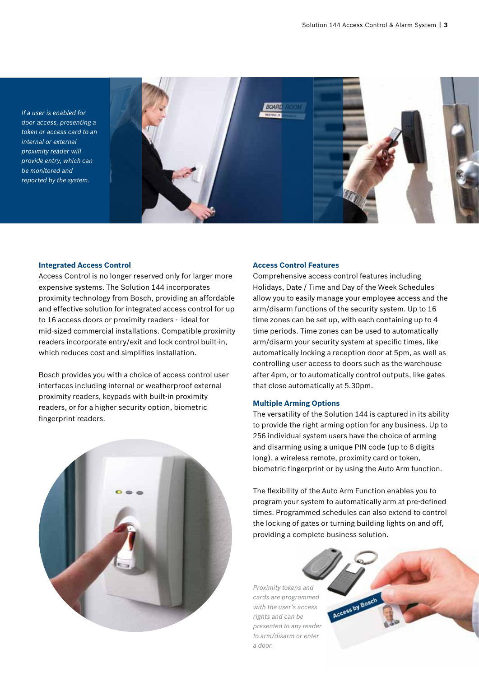*If a user is enabled for door access, presenting a token or access card to an internal or external proximity reader will provide entry, which can be monitored and reported by the system.*



#### **Integrated Access Control**

Access Control is no longer reserved only for larger more expensive systems. The Solution 144 incorporates proximity technology from Bosch, providing an affordable and effective solution for integrated access control for up to 16 access doors or proximity readers - ideal for mid-sized commercial installations. Compatible proximity readers incorporate entry/exit and lock control built-in, which reduces cost and simplifies installation.

Bosch provides you with a choice of access control user interfaces including internal or weatherproof external proximity readers, keypads with built-in proximity readers, or for a higher security option, biometric fingerprint readers.



#### **Access Control Features**

Comprehensive access control features including Holidays, Date / Time and Day of the Week Schedules allow you to easily manage your employee access and the arm/disarm functions of the security system. Up to 16 time zones can be set up, with each containing up to 4 time periods. Time zones can be used to automatically arm/disarm your security system at specific times, like automatically locking a reception door at 5pm, as well as controlling user access to doors such as the warehouse after 4pm, or to automatically control outputs, like gates that close automatically at 5.30pm.

#### **Multiple Arming Options**

The versatility of the Solution 144 is captured in its ability to provide the right arming option for any business. Up to 256 individual system users have the choice of arming and disarming using a unique PIN code (up to 8 digits long), a wireless remote, proximity card or token, biometric fingerprint or by using the Auto Arm function.

The flexibility of the Auto Arm Function enables you to program your system to automatically arm at pre-defined times. Programmed schedules can also extend to control the locking of gates or turning building lights on and off, providing a complete business solution.

*Proximity tokens and cards are programmed with the user's access rights and can be presented to any reader to arm/disarm or enter a door.*

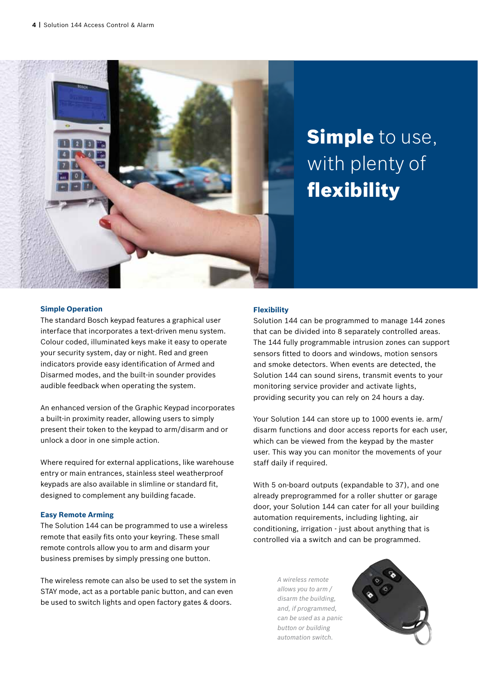

# **Simple** to use, with plenty of flexibility

#### **Simple Operation**

The standard Bosch keypad features a graphical user interface that incorporates a text-driven menu system. Colour coded, illuminated keys make it easy to operate your security system, day or night. Red and green indicators provide easy identification of Armed and Disarmed modes, and the built-in sounder provides audible feedback when operating the system.

An enhanced version of the Graphic Keypad incorporates a built-in proximity reader, allowing users to simply present their token to the keypad to arm/disarm and or unlock a door in one simple action.

Where required for external applications, like warehouse entry or main entrances, stainless steel weatherproof keypads are also available in slimline or standard fit, designed to complement any building facade.

#### **Easy Remote Arming**

The Solution 144 can be programmed to use a wireless remote that easily fits onto your keyring. These small remote controls allow you to arm and disarm your business premises by simply pressing one button.

The wireless remote can also be used to set the system in STAY mode, act as a portable panic button, and can even be used to switch lights and open factory gates & doors.

#### **Flexibility**

Solution 144 can be programmed to manage 144 zones that can be divided into 8 separately controlled areas. The 144 fully programmable intrusion zones can support sensors fitted to doors and windows, motion sensors and smoke detectors. When events are detected, the Solution 144 can sound sirens, transmit events to your monitoring service provider and activate lights, providing security you can rely on 24 hours a day.

Your Solution 144 can store up to 1000 events ie. arm/ disarm functions and door access reports for each user, which can be viewed from the keypad by the master user. This way you can monitor the movements of your staff daily if required.

With 5 on-board outputs (expandable to 37), and one already preprogrammed for a roller shutter or garage door, your Solution 144 can cater for all your building automation requirements, including lighting, air conditioning, irrigation - just about anything that is controlled via a switch and can be programmed.

> *A wireless remote allows you to arm / disarm the building, and, if programmed, can be used as a panic button or building automation switch.*

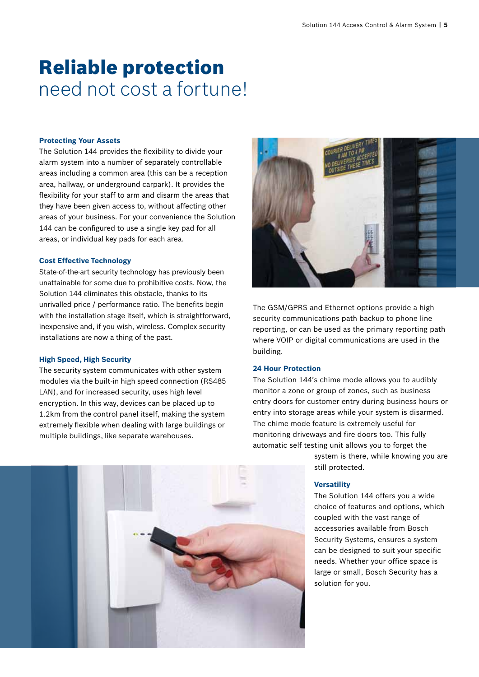## Reliable protection need not cost a fortune!

#### **Protecting Your Assets**

The Solution 144 provides the flexibility to divide your alarm system into a number of separately controllable areas including a common area (this can be a reception area, hallway, or underground carpark). It provides the flexibility for your staff to arm and disarm the areas that they have been given access to, without affecting other areas of your business. For your convenience the Solution 144 can be configured to use a single key pad for all areas, or individual key pads for each area.

#### **Cost Effective Technology**

State-of-the-art security technology has previously been unattainable for some due to prohibitive costs. Now, the Solution 144 eliminates this obstacle, thanks to its unrivalled price / performance ratio. The benefits begin with the installation stage itself, which is straightforward, inexpensive and, if you wish, wireless. Complex security installations are now a thing of the past.

#### **High Speed, High Security**

The security system communicates with other system modules via the built-in high speed connection (RS485 LAN), and for increased security, uses high level encryption. In this way, devices can be placed up to 1.2km from the control panel itself, making the system extremely flexible when dealing with large buildings or multiple buildings, like separate warehouses.



The GSM/GPRS and Ethernet options provide a high security communications path backup to phone line reporting, or can be used as the primary reporting path where VOIP or digital communications are used in the building.

#### **24 Hour Protection**

The Solution 144's chime mode allows you to audibly monitor a zone or group of zones, such as business entry doors for customer entry during business hours or entry into storage areas while your system is disarmed. The chime mode feature is extremely useful for monitoring driveways and fire doors too. This fully automatic self testing unit allows you to forget the

> system is there, while knowing you are still protected.

#### **Versatility**

The Solution 144 offers you a wide choice of features and options, which coupled with the vast range of accessories available from Bosch Security Systems, ensures a system can be designed to suit your specific needs. Whether your office space is large or small, Bosch Security has a solution for you.

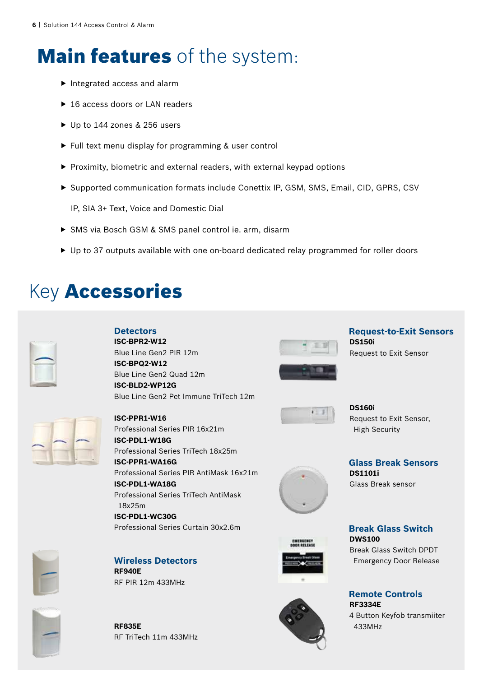# **Main features** of the system:

- $\blacktriangleright$  Integrated access and alarm
- ▶ 16 access doors or LAN readers
- ▶ Up to 144 zones & 256 users
- $\blacktriangleright$  Full text menu display for programming & user control
- $\blacktriangleright$  Proximity, biometric and external readers, with external keypad options
- ▶ Supported communication formats include Conettix IP, GSM, SMS, Email, CID, GPRS, CSV

IP, SIA 3+ Text, Voice and Domestic Dial

- ▶ SMS via Bosch GSM & SMS panel control ie. arm, disarm
- $\blacktriangleright$  Up to 37 outputs available with one on-board dedicated relay programmed for roller doors

### Key Accessories

| h |
|---|
| ۰ |
|   |
|   |
|   |
|   |
|   |
|   |
|   |
|   |
|   |
|   |
|   |
|   |
|   |
|   |
|   |
|   |
|   |
|   |
|   |
|   |
|   |
|   |
|   |
|   |
|   |
|   |
|   |
|   |
|   |
|   |
|   |
|   |

### **Detectors**

**ISC-BPR2-W12**  Blue Line Gen2 PIR 12m **ISC-BPQ2-W12**  Blue Line Gen2 Quad 12m **ISC-BLD2-WP12G** Blue Line Gen2 Pet Immune TriTech 12m



**Request-to-Exit Sensors DS150i** Request to Exit Sensor



**DS160i** Request to Exit Sensor, High Security



**Glass Break Sensors DS1101i** Glass Break sensor



### **Break Glass Switch**

Break Glass Switch DPDT Emergency Door Release

**Remote Controls RF3334E**

4 Button Keyfob transmiiter 433MHz



### **ISC-PPR1-W16**

Professional Series PIR 16x21m **ISC-PDL1-W18G** Professional Series TriTech 18x25m **ISC-PPR1-WA16G** Professional Series PIR AntiMask 16x21m **ISC-PDL1-WA18G** Professional Series TriTech AntiMask 18x25m **ISC-PDL1-WC30G** Professional Series Curtain 30x2.6m









**Wireless Detectors**

RF PIR 12m 433MHz

**RF940E**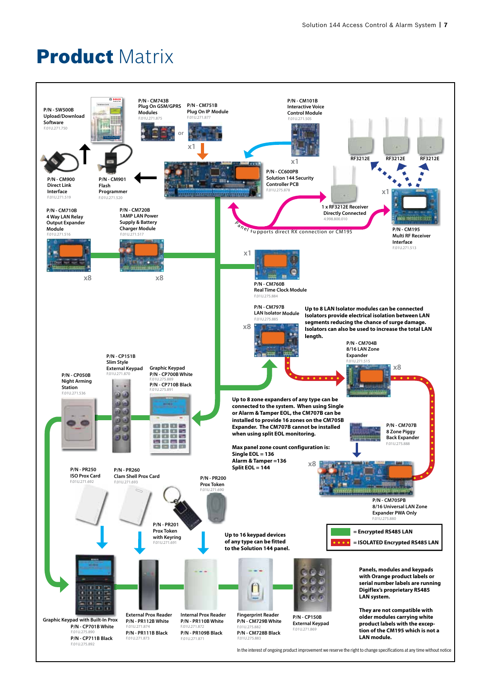## Product Matrix